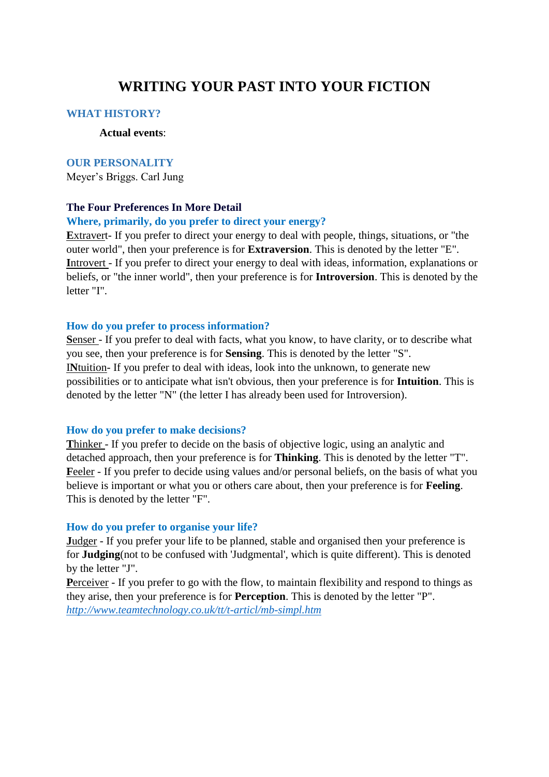# **WRITING YOUR PAST INTO YOUR FICTION**

### **WHAT HISTORY?**

## **Actual events**:

#### **OUR PERSONALITY**

Meyer's Briggs. Carl Jung

## **The Four Preferences In More Detail**

#### **Where, primarily, do you prefer to direct your energy?**

**E**xtravert- If you prefer to direct your energy to deal with people, things, situations, or "the outer world", then your preference is for **Extraversion**. This is denoted by the letter "E". **I**ntrovert - If you prefer to direct your energy to deal with ideas, information, explanations or beliefs, or "the inner world", then your preference is for **Introversion**. This is denoted by the letter "I".

#### **How do you prefer to process information?**

**S**enser - If you prefer to deal with facts, what you know, to have clarity, or to describe what you see, then your preference is for **Sensing**. This is denoted by the letter "S". I**N**tuition- If you prefer to deal with ideas, look into the unknown, to generate new possibilities or to anticipate what isn't obvious, then your preference is for **Intuition**. This is denoted by the letter "N" (the letter I has already been used for Introversion).

#### **How do you prefer to make decisions?**

**T**hinker - If you prefer to decide on the basis of objective logic, using an analytic and detached approach, then your preference is for **Thinking**. This is denoted by the letter "T". **F**eeler - If you prefer to decide using values and/or personal beliefs, on the basis of what you believe is important or what you or others care about, then your preference is for **Feeling**. This is denoted by the letter "F".

#### **How do you prefer to organise your life?**

**J**udger - If you prefer your life to be planned, stable and organised then your preference is for **Judging**(not to be confused with 'Judgmental', which is quite different). This is denoted by the letter "J".

**Perceiver - If you prefer to go with the flow, to maintain flexibility and respond to things as** they arise, then your preference is for **Perception**. This is denoted by the letter "P". *<http://www.teamtechnology.co.uk/tt/t-articl/mb-simpl.htm>*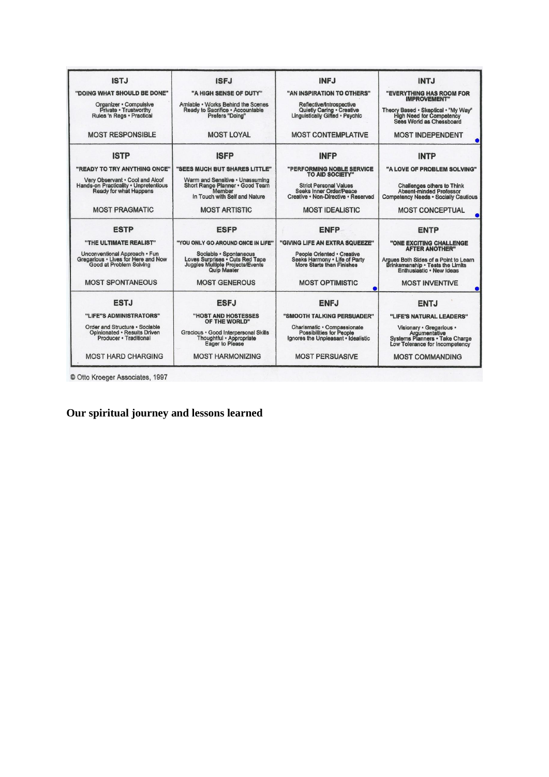| <b>ISTJ</b>                                                                                               | <b>ISFJ</b>                                                                                                         | <b>INFJ</b>                                                                                            | <b>INTJ</b>                                                                                                        |
|-----------------------------------------------------------------------------------------------------------|---------------------------------------------------------------------------------------------------------------------|--------------------------------------------------------------------------------------------------------|--------------------------------------------------------------------------------------------------------------------|
| "DOING WHAT SHOULD BE DONE"                                                                               | "A HIGH SENSE OF DUTY"                                                                                              | "AN INSPIRATION TO OTHERS"                                                                             | "EVERYTHING HAS ROOM FOR<br><b>IMPROVEMENT"</b>                                                                    |
| Organizer · Compulsive<br>Private · Trustworthy<br>Rules 'n Regs · Practical                              | Amiable . Works Behind the Scenes<br>Ready to Sacrifice . Accountable<br>Prefers "Doing"                            | Reflective/Introspective<br>Quietly Caring . Creative<br>Linguistically Gifted . Psychic               | Theory Based . Skeptical . "My Way"<br><b>High Need for Competency</b><br>Sees World as Chessboard                 |
| <b>MOST RESPONSIBLE</b>                                                                                   | <b>MOST LOYAL</b>                                                                                                   | <b>MOST CONTEMPLATIVE</b>                                                                              | <b>MOST INDEPENDENT</b>                                                                                            |
| <b>ISTP</b>                                                                                               | <b>ISFP</b>                                                                                                         | <b>INFP</b>                                                                                            | <b>INTP</b>                                                                                                        |
| "READY TO TRY ANYTHING ONCE"                                                                              | "SEES MUCH BUT SHARES LITTLE"                                                                                       | "PERFORMING NOBLE SERVICE<br><b>TO AID SOCIETY"</b>                                                    | "A LOVE OF PROBLEM SOLVING"                                                                                        |
| Very Observant . Cool and Aloof<br>Hands-on Practicality . Unpretentious<br><b>Ready for what Happens</b> | Warm and Sensitive . Unassuming<br>Short Range Planner . Good Team<br>Member<br>In Touch with Self and Nature       | <b>Strict Personal Values</b><br><b>Seeks Inner Order/Peace</b><br>Creative • Non-Directive • Reserved | <b>Challenges others to Think</b><br><b>Absent-minded Professor</b><br><b>Competency Needs . Socially Cautious</b> |
| <b>MOST PRAGMATIC</b>                                                                                     | <b>MOST ARTISTIC</b>                                                                                                | <b>MOST IDEALISTIC</b>                                                                                 | <b>MOST CONCEPTUAL</b>                                                                                             |
| <b>ESTP</b>                                                                                               | <b>ESFP</b>                                                                                                         | <b>ENFP</b>                                                                                            | <b>ENTP</b>                                                                                                        |
| "THE ULTIMATE REALIST"                                                                                    | "YOU ONLY GO AROUND ONCE IN LIFE"                                                                                   | "GIVING LIFE AN EXTRA SQUEEZE"                                                                         | "ONE EXCITING CHALLENGE<br><b>AFTER ANOTHER"</b>                                                                   |
| Unconventional Approach · Fun<br>Gregarious . Lives for Here and Now<br>Good at Problem Solving           | Sociable · Spontaneous<br>Loves Surprises . Cuts Red Tape<br>Juggles Multiple Projects/Events<br><b>Quip Master</b> | People Oriented · Creative<br>Seeks Harmony . Life of Party<br>More Starts than Finishes               | Argues Both Sides of a Point to Learn<br>Brinksmanship · Tests the Limits<br>Enthusiastic · New Ideas              |
| <b>MOST SPONTANEOUS</b>                                                                                   | <b>MOST GENEROUS</b>                                                                                                | <b>MOST OPTIMISTIC</b>                                                                                 | <b>MOST INVENTIVE</b>                                                                                              |
| <b>ESTJ</b>                                                                                               | <b>ESFJ</b>                                                                                                         | <b>ENFJ</b>                                                                                            | <b>ENTJ</b>                                                                                                        |
| "LIFE"S ADMINISTRATORS"                                                                                   | "HOST AND HOSTESSES<br>OF THE WORLD"                                                                                | "SMOOTH TALKING PERSUADER"                                                                             | "LIFE'S NATURAL LEADERS"                                                                                           |
| Order and Structure · Sociable<br>Opinionated . Results Driven<br>Producer · Traditional                  | Gracious · Good Interpersonal Skills<br>Thoughtful · Appropriate<br>Eager to Please                                 | Charlsmatic · Compassionate<br><b>Possibilities for People</b><br>Ignores the Unpleasant · Idealistic  | Visionary · Gregarious ·<br>Argumentative<br>Systems Planners · Take Charge<br>Low Tolerance for Incompetency      |
| <b>MOST HARD CHARGING</b>                                                                                 | <b>MOST HARMONIZING</b>                                                                                             | <b>MOST PERSUASIVE</b>                                                                                 | <b>MOST COMMANDING</b>                                                                                             |

© Otto Kroeger Associates, 1997

**Our spiritual journey and lessons learned**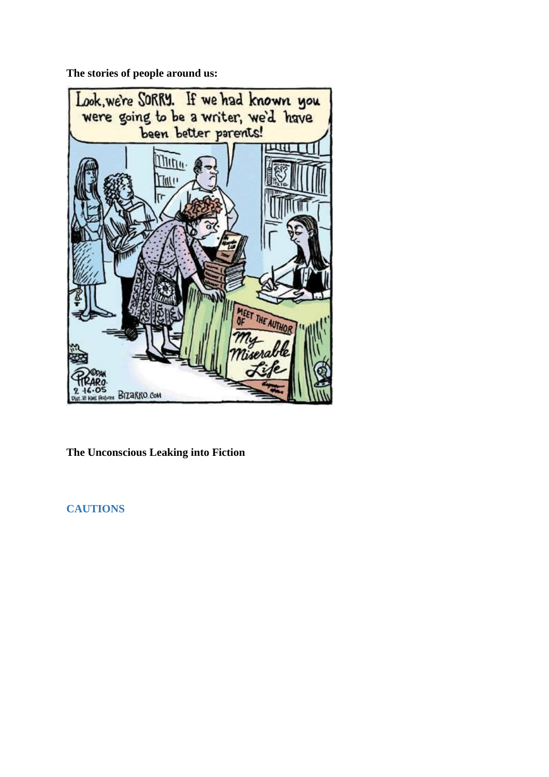**The stories of people around us:**



**The Unconscious Leaking into Fiction**

**CAUTIONS**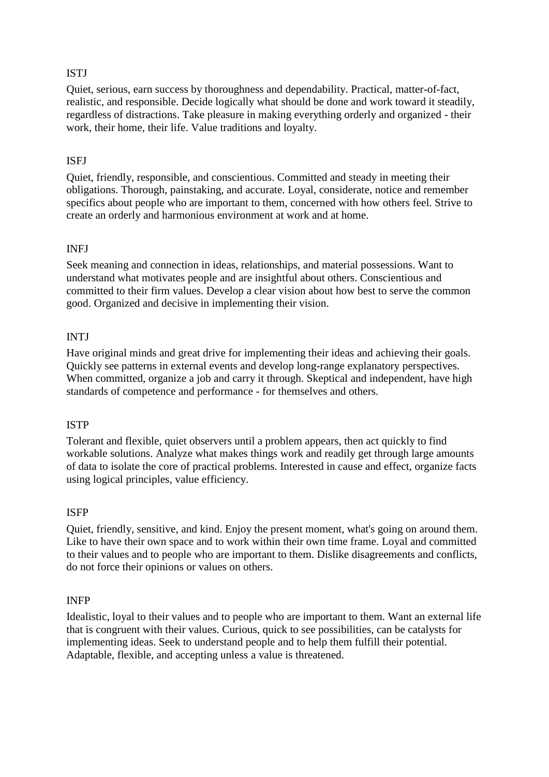# **ISTJ**

Quiet, serious, earn success by thoroughness and dependability. Practical, matter-of-fact, realistic, and responsible. Decide logically what should be done and work toward it steadily, regardless of distractions. Take pleasure in making everything orderly and organized - their work, their home, their life. Value traditions and loyalty.

# ISFJ

Quiet, friendly, responsible, and conscientious. Committed and steady in meeting their obligations. Thorough, painstaking, and accurate. Loyal, considerate, notice and remember specifics about people who are important to them, concerned with how others feel. Strive to create an orderly and harmonious environment at work and at home.

## INFJ

Seek meaning and connection in ideas, relationships, and material possessions. Want to understand what motivates people and are insightful about others. Conscientious and committed to their firm values. Develop a clear vision about how best to serve the common good. Organized and decisive in implementing their vision.

# INTJ

Have original minds and great drive for implementing their ideas and achieving their goals. Quickly see patterns in external events and develop long-range explanatory perspectives. When committed, organize a job and carry it through. Skeptical and independent, have high standards of competence and performance - for themselves and others.

## ISTP

Tolerant and flexible, quiet observers until a problem appears, then act quickly to find workable solutions. Analyze what makes things work and readily get through large amounts of data to isolate the core of practical problems. Interested in cause and effect, organize facts using logical principles, value efficiency.

## ISFP

Quiet, friendly, sensitive, and kind. Enjoy the present moment, what's going on around them. Like to have their own space and to work within their own time frame. Loyal and committed to their values and to people who are important to them. Dislike disagreements and conflicts, do not force their opinions or values on others.

## INFP

Idealistic, loyal to their values and to people who are important to them. Want an external life that is congruent with their values. Curious, quick to see possibilities, can be catalysts for implementing ideas. Seek to understand people and to help them fulfill their potential. Adaptable, flexible, and accepting unless a value is threatened.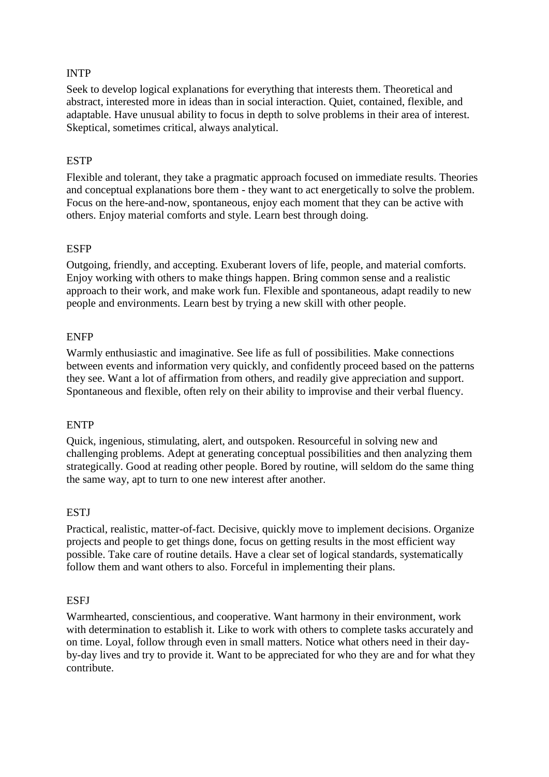# INTP

Seek to develop logical explanations for everything that interests them. Theoretical and abstract, interested more in ideas than in social interaction. Quiet, contained, flexible, and adaptable. Have unusual ability to focus in depth to solve problems in their area of interest. Skeptical, sometimes critical, always analytical.

# **ESTP**

Flexible and tolerant, they take a pragmatic approach focused on immediate results. Theories and conceptual explanations bore them - they want to act energetically to solve the problem. Focus on the here-and-now, spontaneous, enjoy each moment that they can be active with others. Enjoy material comforts and style. Learn best through doing.

## **ESFP**

Outgoing, friendly, and accepting. Exuberant lovers of life, people, and material comforts. Enjoy working with others to make things happen. Bring common sense and a realistic approach to their work, and make work fun. Flexible and spontaneous, adapt readily to new people and environments. Learn best by trying a new skill with other people.

#### ENFP

Warmly enthusiastic and imaginative. See life as full of possibilities. Make connections between events and information very quickly, and confidently proceed based on the patterns they see. Want a lot of affirmation from others, and readily give appreciation and support. Spontaneous and flexible, often rely on their ability to improvise and their verbal fluency.

#### ENTP

Quick, ingenious, stimulating, alert, and outspoken. Resourceful in solving new and challenging problems. Adept at generating conceptual possibilities and then analyzing them strategically. Good at reading other people. Bored by routine, will seldom do the same thing the same way, apt to turn to one new interest after another.

## **ESTI**

Practical, realistic, matter-of-fact. Decisive, quickly move to implement decisions. Organize projects and people to get things done, focus on getting results in the most efficient way possible. Take care of routine details. Have a clear set of logical standards, systematically follow them and want others to also. Forceful in implementing their plans.

#### **ESFJ**

Warmhearted, conscientious, and cooperative. Want harmony in their environment, work with determination to establish it. Like to work with others to complete tasks accurately and on time. Loyal, follow through even in small matters. Notice what others need in their dayby-day lives and try to provide it. Want to be appreciated for who they are and for what they contribute.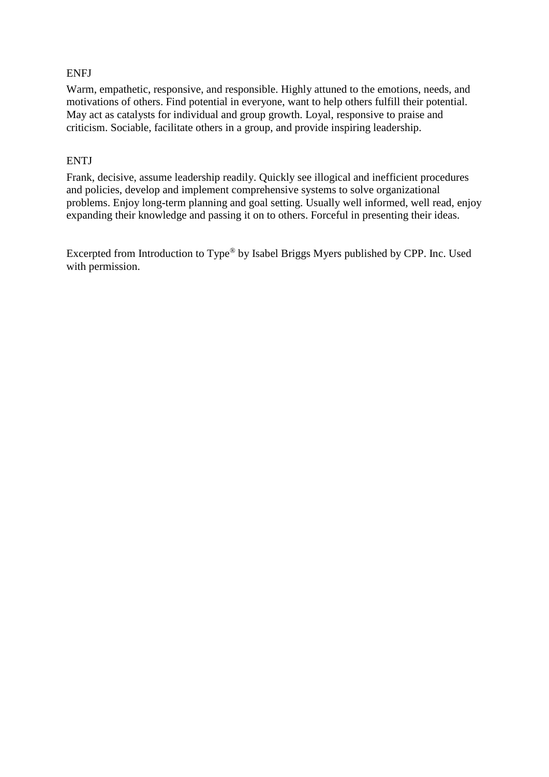# ENFJ

Warm, empathetic, responsive, and responsible. Highly attuned to the emotions, needs, and motivations of others. Find potential in everyone, want to help others fulfill their potential. May act as catalysts for individual and group growth. Loyal, responsive to praise and criticism. Sociable, facilitate others in a group, and provide inspiring leadership.

# **ENTJ**

Frank, decisive, assume leadership readily. Quickly see illogical and inefficient procedures and policies, develop and implement comprehensive systems to solve organizational problems. Enjoy long-term planning and goal setting. Usually well informed, well read, enjoy expanding their knowledge and passing it on to others. Forceful in presenting their ideas.

Excerpted from Introduction to Type® by Isabel Briggs Myers published by CPP. Inc. Used with permission.